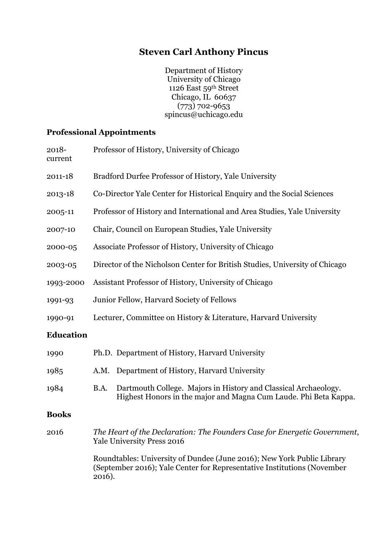# **Steven Carl Anthony Pincus**

Department of History University of Chicago 1126 East 59th Street Chicago, IL 60637 (773) 702-9653 spincus@uchicago.edu

## **Professional Appointments**

| 2018-<br>current | Professor of History, University of Chicago                                                                                                                 |  |
|------------------|-------------------------------------------------------------------------------------------------------------------------------------------------------------|--|
| 2011-18          | Bradford Durfee Professor of History, Yale University                                                                                                       |  |
| 2013-18          | Co-Director Yale Center for Historical Enquiry and the Social Sciences                                                                                      |  |
| 2005-11          | Professor of History and International and Area Studies, Yale University                                                                                    |  |
| 2007-10          | Chair, Council on European Studies, Yale University                                                                                                         |  |
| 2000-05          | Associate Professor of History, University of Chicago                                                                                                       |  |
| 2003-05          | Director of the Nicholson Center for British Studies, University of Chicago                                                                                 |  |
| 1993-2000        | Assistant Professor of History, University of Chicago                                                                                                       |  |
| 1991-93          | Junior Fellow, Harvard Society of Fellows                                                                                                                   |  |
| 1990-91          | Lecturer, Committee on History & Literature, Harvard University                                                                                             |  |
| <b>Education</b> |                                                                                                                                                             |  |
| 1990             | Ph.D. Department of History, Harvard University                                                                                                             |  |
| 1985             | A.M. Department of History, Harvard University                                                                                                              |  |
| 1984             | Dartmouth College. Majors in History and Classical Archaeology.<br>B.A.<br>Highest Honors in the major and Magna Cum Laude. Phi Beta Kappa.                 |  |
| <b>Books</b>     |                                                                                                                                                             |  |
| 2016             | The Heart of the Declaration: The Founders Case for Energetic Government,<br><b>Yale University Press 2016</b>                                              |  |
|                  | Roundtables: University of Dundee (June 2016); New York Public Library<br>(September 2016); Yale Center for Representative Institutions (November<br>2016). |  |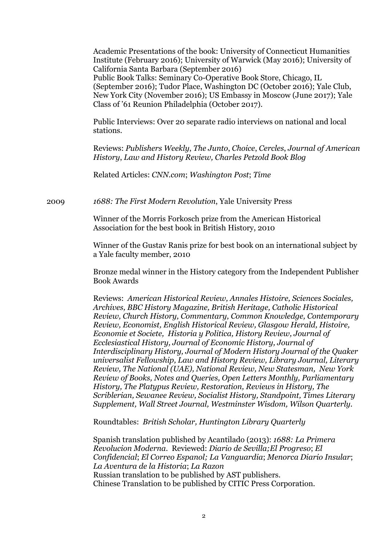Academic Presentations of the book: University of Connecticut Humanities Institute (February 2016); University of Warwick (May 2016); University of California Santa Barbara (September 2016) Public Book Talks: Seminary Co-Operative Book Store, Chicago, IL (September 2016); Tudor Place, Washington DC (October 2016); Yale Club, New York City (November 2016); US Embassy in Moscow (June 2017); Yale Class of '61 Reunion Philadelphia (October 2017).

Public Interviews: Over 20 separate radio interviews on national and local stations.

Reviews: *Publishers Weekly*, *The Junto*, *Choice*, *Cercles*, *Journal of American History*, *Law and History Review, Charles Petzold Book Blog*

Related Articles: *CNN.com*; *Washington Post*; *Time*

2009 *1688: The First Modern Revolution*, Yale University Press

Winner of the Morris Forkosch prize from the American Historical Association for the best book in British History, 2010

Winner of the Gustav Ranis prize for best book on an international subject by a Yale faculty member, 2010

Bronze medal winner in the History category from the Independent Publisher Book Awards

Reviews: *American Historical Review, Annales Histoire, Sciences Sociales, Archives, BBC History Magazine, British Heritage, Catholic Historical Review, Church History, Commentary, Common Knowledge, Contemporary Review, Economist, English Historical Review, Glasgow Herald, Histoire, Economie et Societe, Historia y Politica, History Review, Journal of Ecclesiastical History, Journal of Economic History, Journal of Interdisciplinary History, Journal of Modern History Journal of the Quaker universalist Fellowship, Law and History Review, Library Journal, Literary Review, The National (UAE), National Review, New Statesman, New York Review of Books, Notes and Queries, Open Letters Monthly, Parliamentary History, The Platypus Review, Restoration, Reviews in History, The Scriblerian, Sewanee Review, Socialist History, Standpoint, Times Literary Supplement, Wall Street Journal, Westminster Wisdom, Wilson Quarterly.*

Roundtables: *British Scholar, Huntington Library Quarterly*

Spanish translation published by Acantilado (2013): *1688: La Primera Revolucion Moderna*. Reviewed: *Diario de Sevilla;El Progreso*; *El Confidencial*; *El Correo Espanol; La Vanguardia*; *Menorca Diario Insular*; *La Aventura de la Historia*; *La Razon* Russian translation to be published by AST publishers. Chinese Translation to be published by CITIC Press Corporation.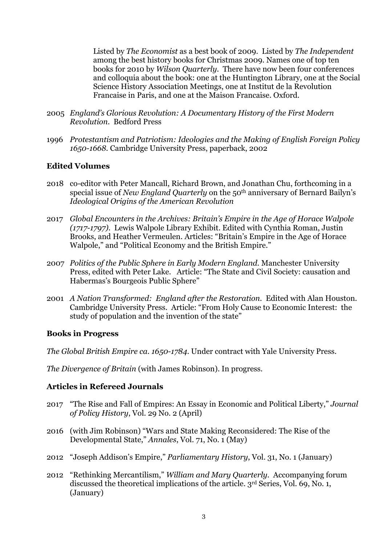Listed by *The Economist* as a best book of 2009. Listed by *The Independent*  among the best history books for Christmas 2009. Names one of top ten books for 2010 by *Wilson Quarterly*. There have now been four conferences and colloquia about the book: one at the Huntington Library, one at the Social Science History Association Meetings, one at Institut de la Revolution Francaise in Paris, and one at the Maison Francaise. Oxford.

- 2005 *England's Glorious Revolution: A Documentary History of the First Modern Revolution*. Bedford Press
- 1996 *Protestantism and Patriotism: Ideologies and the Making of English Foreign Policy 1650-1668.* Cambridge University Press, paperback, 2002

#### **Edited Volumes**

- 2018 co-editor with Peter Mancall, Richard Brown, and Jonathan Chu, forthcoming in a special issue of *New England Quarterly* on the 50th anniversary of Bernard Bailyn's *Ideological Origins of the American Revolution*
- 2017 *Global Encounters in the Archives: Britain's Empire in the Age of Horace Walpole (1717-1797)*. Lewis Walpole Library Exhibit. Edited with Cynthia Roman, Justin Brooks, and Heather Vermeulen. Articles: "Britain's Empire in the Age of Horace Walpole," and "Political Economy and the British Empire."
- 2007 *Politics of the Public Sphere in Early Modern England.* Manchester University Press, edited with Peter Lake. Article: "The State and Civil Society: causation and Habermas's Bourgeois Public Sphere"
- 2001 *A Nation Transformed: England after the Restoration*. Edited with Alan Houston. Cambridge University Press. Article: "From Holy Cause to Economic Interest: the study of population and the invention of the state"

#### **Books in Progress**

*The Global British Empire ca. 1650-1784*. Under contract with Yale University Press.

*The Divergence of Britain* (with James Robinson). In progress.

#### **Articles in Refereed Journals**

- 2017 "The Rise and Fall of Empires: An Essay in Economic and Political Liberty," *Journal of Policy History*, Vol. 29 No. 2 (April)
- 2016 (with Jim Robinson) "Wars and State Making Reconsidered: The Rise of the Developmental State," *Annales*, Vol. 71, No. 1 (May)
- 2012 "Joseph Addison's Empire," *Parliamentary History*, Vol. 31, No. 1 (January)
- 2012 "Rethinking Mercantilism," *William and Mary Quarterly.* Accompanying forum discussed the theoretical implications of the article. 3rd Series, Vol. 69, No. 1, (January)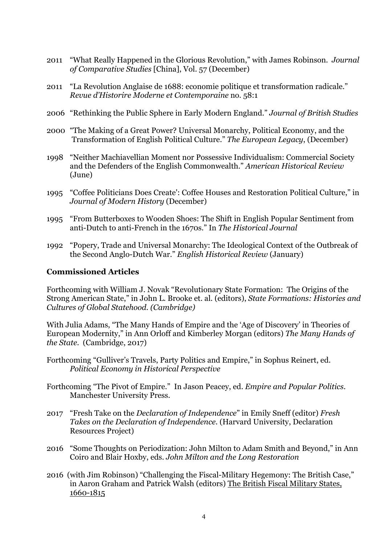- 2011 "What Really Happened in the Glorious Revolution," with James Robinson. *Journal of Comparative Studies* [China], Vol. 57 (December)
- 2011 "La Revolution Anglaise de 1688: economie politique et transformation radicale." *Revue d'Historire Moderne et Contemporaine* no. 58:1
- 2006 "Rethinking the Public Sphere in Early Modern England." *Journal of British Studies*
- 2000 "The Making of a Great Power? Universal Monarchy, Political Economy, and the Transformation of English Political Culture." *The European Legacy*, (December)
- 1998 "Neither Machiavellian Moment nor Possessive Individualism: Commercial Society and the Defenders of the English Commonwealth." *American Historical Review* (June)
- 1995 "Coffee Politicians Does Create': Coffee Houses and Restoration Political Culture," in *Journal of Modern History* (December)
- 1995 "From Butterboxes to Wooden Shoes: The Shift in English Popular Sentiment from anti-Dutch to anti-French in the 1670s." In *The Historical Journal*
- 1992 "Popery, Trade and Universal Monarchy: The Ideological Context of the Outbreak of the Second Anglo-Dutch War." *English Historical Review* (January)

#### **Commissioned Articles**

Forthcoming with William J. Novak "Revolutionary State Formation: The Origins of the Strong American State," in John L. Brooke et. al. (editors), *State Formations: Histories and Cultures of Global Statehood. (Cambridge)*

With Julia Adams, "The Many Hands of Empire and the 'Age of Discovery' in Theories of European Modernity," in Ann Orloff and Kimberley Morgan (editors) *The Many Hands of the State*. (Cambridge, 2017)

- Forthcoming "Gulliver's Travels, Party Politics and Empire," in Sophus Reinert, ed. *Political Economy in Historical Perspective*
- Forthcoming "The Pivot of Empire." In Jason Peacey, ed. *Empire and Popular Politics*. Manchester University Press.
- 2017 "Fresh Take on the *Declaration of Independence*" in Emily Sneff (editor) *Fresh Takes on the Declaration of Independence*. (Harvard University, Declaration Resources Project)
- 2016 "Some Thoughts on Periodization: John Milton to Adam Smith and Beyond," in Ann Coiro and Blair Hoxby, eds. *John Milton and the Long Restoration*
- 2016 (with Jim Robinson) "Challenging the Fiscal-Military Hegemony: The British Case," in Aaron Graham and Patrick Walsh (editors) The British Fiscal Military States, 1660-1815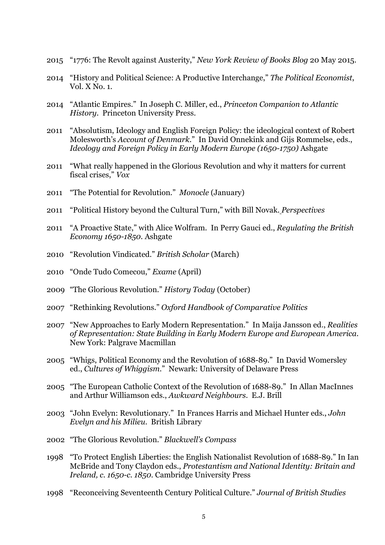- "1776: The Revolt against Austerity," *New York Review of Books Blog* 20 May 2015.
- "History and Political Science: A Productive Interchange," *The Political Economist*, Vol. X No. 1.
- "Atlantic Empires." In Joseph C. Miller, ed., *Princeton Companion to Atlantic History*. Princeton University Press.
- "Absolutism, Ideology and English Foreign Policy: the ideological context of Robert Molesworth's *Account of Denmark*." In David Onnekink and Gijs Rommelse, eds., *Ideology and Foreign Policy in Early Modern Europe (1650-1750)* Ashgate
- "What really happened in the Glorious Revolution and why it matters for current fiscal crises," *Vox*
- "The Potential for Revolution." *Monocle* (January)
- "Political History beyond the Cultural Turn," with Bill Novak. *Perspectives*
- "A Proactive State," with Alice Wolfram. In Perry Gauci ed., *Regulating the British Economy 1650-1850.* Ashgate
- "Revolution Vindicated." *British Scholar* (March)
- "Onde Tudo Comecou," *Exame* (April)
- "The Glorious Revolution." *History Today* (October)
- "Rethinking Revolutions." *Oxford Handbook of Comparative Politics*
- "New Approaches to Early Modern Representation." In Maija Jansson ed., *Realities of Representation: State Building in Early Modern Europe and European America*. New York: Palgrave Macmillan
- "Whigs, Political Economy and the Revolution of 1688-89." In David Womersley ed., *Cultures of Whiggism*." Newark: University of Delaware Press
- "The European Catholic Context of the Revolution of 1688-89." In Allan MacInnes and Arthur Williamson eds., *Awkward Neighbours*. E.J. Brill
- "John Evelyn: Revolutionary." In Frances Harris and Michael Hunter eds., *John Evelyn and his Milieu*. British Library
- "The Glorious Revolution." *Blackwell's Compass*
- "To Protect English Liberties: the English Nationalist Revolution of 1688-89." In Ian McBride and Tony Claydon eds., *Protestantism and National Identity: Britain and Ireland, c. 1650-c. 1850*. Cambridge University Press
- "Reconceiving Seventeenth Century Political Culture." *Journal of British Studies*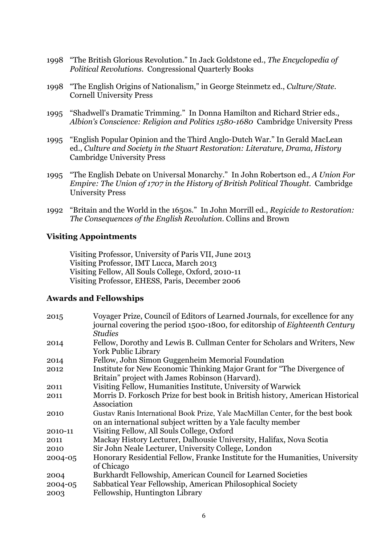- 1998 "The British Glorious Revolution." In Jack Goldstone ed., *The Encyclopedia of Political Revolutions*. Congressional Quarterly Books
- 1998 "The English Origins of Nationalism," in George Steinmetz ed., *Culture/State*. Cornell University Press
- 1995 "Shadwell's Dramatic Trimming." In Donna Hamilton and Richard Strier eds., *Albion's Conscience: Religion and Politics 1580-1680* Cambridge University Press
- 1995 "English Popular Opinion and the Third Anglo-Dutch War." In Gerald MacLean ed., *Culture and Society in the Stuart Restoration: Literature, Drama, History* Cambridge University Press
- 1995 "The English Debate on Universal Monarchy." In John Robertson ed., *A Union For Empire: The Union of 1707 in the History of British Political Thought.* Cambridge University Press
- 1992 "Britain and the World in the 1650s." In John Morrill ed., *Regicide to Restoration: The Consequences of the English Revolution*. Collins and Brown

#### **Visiting Appointments**

Visiting Professor, University of Paris VII, June 2013 Visiting Professor, IMT Lucca, March 2013 Visiting Fellow, All Souls College, Oxford, 2010-11 Visiting Professor, EHESS, Paris, December 2006

#### **Awards and Fellowships**

| 2015    | Voyager Prize, Council of Editors of Learned Journals, for excellence for any      |
|---------|------------------------------------------------------------------------------------|
|         | journal covering the period 1500-1800, for editorship of <i>Eighteenth Century</i> |
|         | <b>Studies</b>                                                                     |
| 2014    | Fellow, Dorothy and Lewis B. Cullman Center for Scholars and Writers, New          |
|         | <b>York Public Library</b>                                                         |
| 2014    | Fellow, John Simon Guggenheim Memorial Foundation                                  |
| 2012    | Institute for New Economic Thinking Major Grant for "The Divergence of             |
|         | Britain" project with James Robinson (Harvard).                                    |
| 2011    | Visiting Fellow, Humanities Institute, University of Warwick                       |
| 2011    | Morris D. Forkosch Prize for best book in British history, American Historical     |
|         | Association                                                                        |
| 2010    | Gustav Ranis International Book Prize, Yale MacMillan Center, for the best book    |
|         | on an international subject written by a Yale faculty member                       |
| 2010-11 | Visiting Fellow, All Souls College, Oxford                                         |
| 2011    | Mackay History Lecturer, Dalhousie University, Halifax, Nova Scotia                |
| 2010    | Sir John Neale Lecturer, University College, London                                |
| 2004-05 | Honorary Residential Fellow, Franke Institute for the Humanities, University       |
|         | of Chicago                                                                         |
| 2004    | Burkhardt Fellowship, American Council for Learned Societies                       |
| 2004-05 | Sabbatical Year Fellowship, American Philosophical Society                         |
| 2003    | Fellowship, Huntington Library                                                     |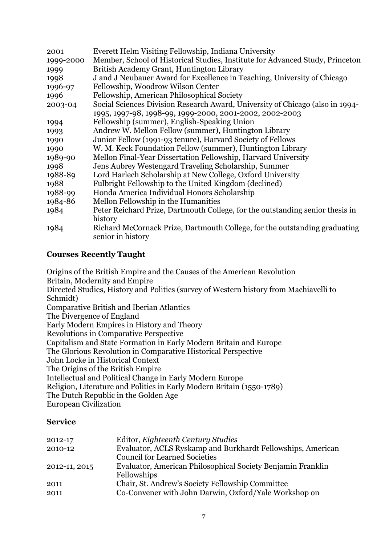| 2001      | Everett Helm Visiting Fellowship, Indiana University                                            |
|-----------|-------------------------------------------------------------------------------------------------|
| 1999-2000 | Member, School of Historical Studies, Institute for Advanced Study, Princeton                   |
| 1999      | British Academy Grant, Huntington Library                                                       |
| 1998      | J and J Neubauer Award for Excellence in Teaching, University of Chicago                        |
| 1996-97   | Fellowship, Woodrow Wilson Center                                                               |
| 1996      | Fellowship, American Philosophical Society                                                      |
| 2003-04   | Social Sciences Division Research Award, University of Chicago (also in 1994-                   |
|           | 1995, 1997-98, 1998-99, 1999-2000, 2001-2002, 2002-2003                                         |
| 1994      | Fellowship (summer), English-Speaking Union                                                     |
| 1993      | Andrew W. Mellon Fellow (summer), Huntington Library                                            |
| 1990      | Junior Fellow (1991-93 tenure), Harvard Society of Fellows                                      |
| 1990      | W. M. Keck Foundation Fellow (summer), Huntington Library                                       |
| 1989-90   | Mellon Final-Year Dissertation Fellowship, Harvard University                                   |
| 1998      | Jens Aubrey Westengard Traveling Scholarship, Summer                                            |
| 1988-89   | Lord Harlech Scholarship at New College, Oxford University                                      |
| 1988      | Fulbright Fellowship to the United Kingdom (declined)                                           |
| 1988-99   | Honda America Individual Honors Scholarship                                                     |
| 1984-86   | Mellon Fellowship in the Humanities                                                             |
| 1984      | Peter Reichard Prize, Dartmouth College, for the outstanding senior thesis in                   |
|           | history                                                                                         |
| 1984      | Richard McCornack Prize, Dartmouth College, for the outstanding graduating<br>senior in history |

## **Courses Recently Taught**

Origins of the British Empire and the Causes of the American Revolution Britain, Modernity and Empire Directed Studies, History and Politics (survey of Western history from Machiavelli to Schmidt) Comparative British and Iberian Atlantics The Divergence of England Early Modern Empires in History and Theory Revolutions in Comparative Perspective Capitalism and State Formation in Early Modern Britain and Europe The Glorious Revolution in Comparative Historical Perspective John Locke in Historical Context The Origins of the British Empire Intellectual and Political Change in Early Modern Europe Religion, Literature and Politics in Early Modern Britain (1550-1789) The Dutch Republic in the Golden Age European Civilization

#### **Service**

| 2012-17       | Editor, Eighteenth Century Studies                          |
|---------------|-------------------------------------------------------------|
| 2010-12       | Evaluator, ACLS Ryskamp and Burkhardt Fellowships, American |
|               | <b>Council for Learned Societies</b>                        |
| 2012-11, 2015 | Evaluator, American Philosophical Society Benjamin Franklin |
|               | Fellowships                                                 |
| 2011          | Chair, St. Andrew's Society Fellowship Committee            |
| 2011          | Co-Convener with John Darwin, Oxford/Yale Workshop on       |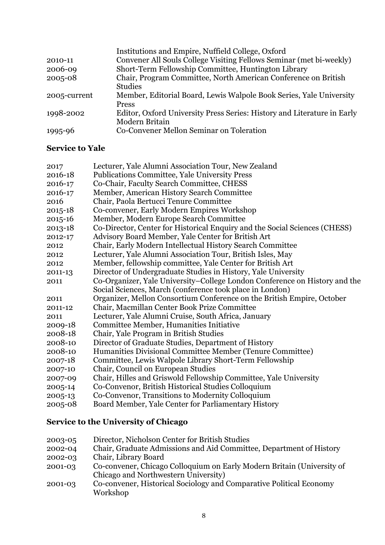|              | Institutions and Empire, Nuffield College, Oxford                       |
|--------------|-------------------------------------------------------------------------|
| 2010-11      | Convener All Souls College Visiting Fellows Seminar (met bi-weekly)     |
| 2006-09      | Short-Term Fellowship Committee, Huntington Library                     |
| 2005-08      | Chair, Program Committee, North American Conference on British          |
|              | <b>Studies</b>                                                          |
| 2005-current | Member, Editorial Board, Lewis Walpole Book Series, Yale University     |
|              | <b>Press</b>                                                            |
| 1998-2002    | Editor, Oxford University Press Series: History and Literature in Early |
|              | Modern Britain                                                          |
| 1995-96      | Co-Convener Mellon Seminar on Toleration                                |
|              |                                                                         |

### **Service to Yale**

| 2017        | Lecturer, Yale Alumni Association Tour, New Zealand                        |
|-------------|----------------------------------------------------------------------------|
| 2016-18     | Publications Committee, Yale University Press                              |
| 2016-17     | Co-Chair, Faculty Search Committee, CHESS                                  |
| 2016-17     | Member, American History Search Committee                                  |
| 2016        | Chair, Paola Bertucci Tenure Committee                                     |
| $2015 - 18$ | Co-convener, Early Modern Empires Workshop                                 |
| 2015-16     | Member, Modern Europe Search Committee                                     |
| 2013-18     | Co-Director, Center for Historical Enquiry and the Social Sciences (CHESS) |
| 2012-17     | Advisory Board Member, Yale Center for British Art                         |
| 2012        | Chair, Early Modern Intellectual History Search Committee                  |
| 2012        | Lecturer, Yale Alumni Association Tour, British Isles, May                 |
| 2012        | Member, fellowship committee, Yale Center for British Art                  |
| 2011-13     | Director of Undergraduate Studies in History, Yale University              |
| 2011        | Co-Organizer, Yale University–College London Conference on History and the |
|             | Social Sciences, March (conference took place in London)                   |
| 2011        | Organizer, Mellon Consortium Conference on the British Empire, October     |
| 2011-12     | Chair, Macmillan Center Book Prize Committee                               |
| 2011        | Lecturer, Yale Alumni Cruise, South Africa, January                        |
| 2009-18     | Committee Member, Humanities Initiative                                    |
| 2008-18     | Chair, Yale Program in British Studies                                     |
| 2008-10     | Director of Graduate Studies, Department of History                        |
| 2008-10     | Humanities Divisional Committee Member (Tenure Committee)                  |
| 2007-18     | Committee, Lewis Walpole Library Short-Term Fellowship                     |
| 2007-10     | Chair, Council on European Studies                                         |
| 2007-09     | Chair, Hilles and Griswold Fellowship Committee, Yale University           |
| 2005-14     | Co-Convenor, British Historical Studies Colloquium                         |
| 2005-13     | Co-Convenor, Transitions to Modernity Colloquium                           |
| 2005-08     | Board Member, Yale Center for Parliamentary History                        |
|             |                                                                            |

## **Service to the University of Chicago**

- 2003-05 Director, Nicholson Center for British Studies
- 2002-04 Chair, Graduate Admissions and Aid Committee, Department of History
- 2002-03 Chair, Library Board
- 2001-03 Co-convener, Chicago Colloquium on Early Modern Britain (University of Chicago and Northwestern University)
- 2001-03 Co-convener, Historical Sociology and Comparative Political Economy Workshop